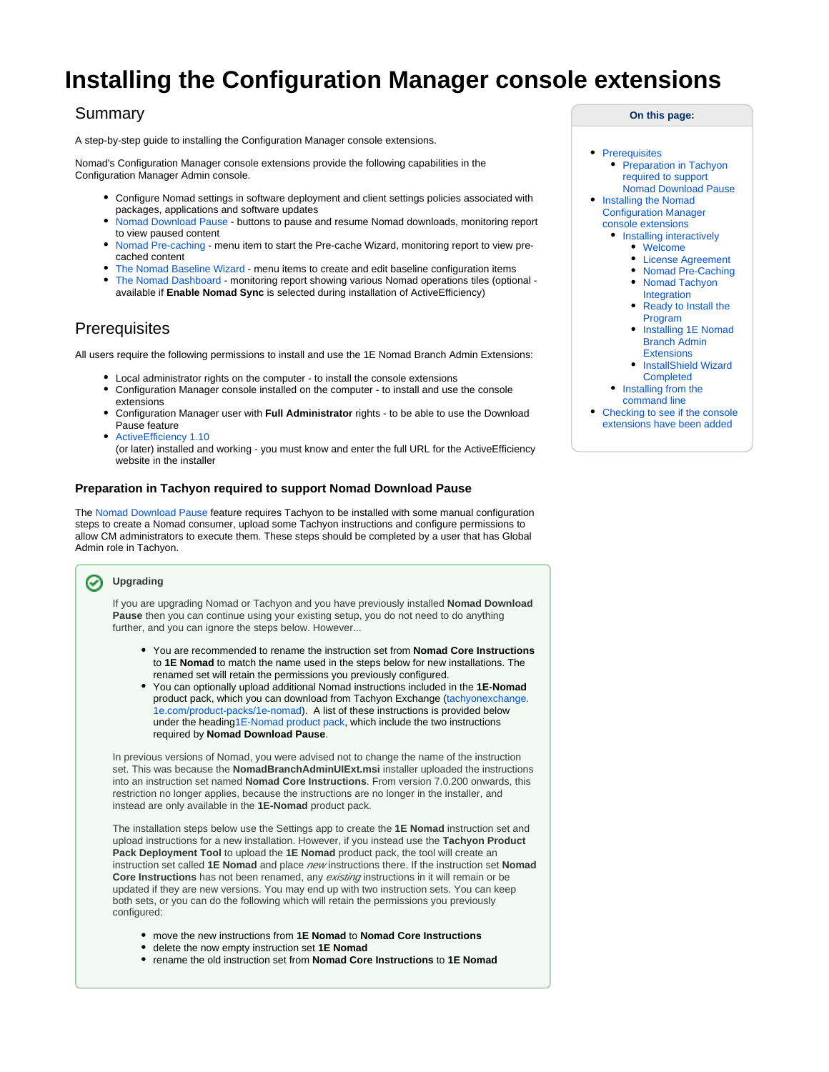# **Installing the Configuration Manager console extensions**

# Summary

A step-by-step guide to installing the Configuration Manager console extensions.

Nomad's Configuration Manager console extensions provide the following capabilities in the Configuration Manager Admin console.

- Configure Nomad settings in software deployment and client settings policies associated with packages, applications and software updates
- [Nomad Download Pause](https://help.1e.com/display/NMD71/Nomad+Download+Pause) buttons to pause and resume Nomad downloads, monitoring report to view paused content
- [Nomad Pre-caching](https://help.1e.com/display/NMD71/Nomad+Pre-caching)  menu item to start the Pre-cache Wizard, monitoring report to view precached content
- [The Nomad Baseline Wizard](https://help.1e.com/display/NMD702/The+Nomad+Baseline+Wizard)  menu items to create and edit baseline configuration items
- [The Nomad Dashboard](https://help.1e.com/display/NMD702/The+Nomad+Dashboard) monitoring report showing various Nomad operations tiles (optional available if **Enable Nomad Sync** is selected during installation of ActiveEfficiency)

# <span id="page-0-0"></span>**Prerequisites**

All users require the following permissions to install and use the 1E Nomad Branch Admin Extensions:

- Local administrator rights on the computer to install the console extensions
- Configuration Manager console installed on the computer to install and use the console extensions
- Configuration Manager user with **Full Administrator** rights to be able to use the Download Pause feature
- [ActiveEfficiency 1.10](https://help.1e.com/display/AES110/Welcome)

(or later) installed and working - you must know and enter the full URL for the ActiveEfficiency website in the installer

### <span id="page-0-1"></span>**Preparation in Tachyon required to support Nomad Download Pause**

The [Nomad Download Pause](https://help.1e.com/display/NMD702/Nomad+Download+Pause) feature requires Tachyon to be installed with some manual configuration steps to create a Nomad consumer, upload some Tachyon instructions and configure permissions to allow CM administrators to execute them. These steps should be completed by a user that has Global Admin role in Tachyon.

#### **Upgrading**

If you are upgrading Nomad or Tachyon and you have previously installed **Nomad Download Pause** then you can continue using your existing setup, you do not need to do anything further, and you can ignore the steps below. However...

- You are recommended to rename the instruction set from **Nomad Core Instructions** to **1E Nomad** to match the name used in the steps below for new installations. The renamed set will retain the permissions you previously configured.
- You can optionally upload additional Nomad instructions included in the **1E-Nomad** product pack, which you can download from Tachyon Exchange [\(tachyonexchange.](https://tachyonexchange.1e.com/product-packs/1e-nomad/) [1e.com/product-packs/1e-nomad\)](https://tachyonexchange.1e.com/product-packs/1e-nomad/). A list of these instructions is provided below under the heading1E-Nomad product pack, which include the two instructions required by **Nomad Download Pause**.

In previous versions of Nomad, you were advised not to change the name of the instruction set. This was because the **NomadBranchAdminUIExt.msi** installer uploaded the instructions into an instruction set named **Nomad Core Instructions**. From version 7.0.200 onwards, this restriction no longer applies, because the instructions are no longer in the installer, and instead are only available in the **1E-Nomad** product pack.

The installation steps below use the Settings app to create the **1E Nomad** instruction set and upload instructions for a new installation. However, if you instead use the **Tachyon Product Pack Deployment Tool** to upload the **1E Nomad** product pack, the tool will create an instruction set called **1E Nomad** and place new instructions there. If the instruction set **Nomad**  Core Instructions has not been renamed, any existing instructions in it will remain or be updated if they are new versions. You may end up with two instruction sets. You can keep both sets, or you can do the following which will retain the permissions you previously configured:

- move the new instructions from **1E Nomad** to **Nomad Core Instructions**
- delete the now empty instruction set **1E Nomad**
- rename the old instruction set from **Nomad Core Instructions** to **1E Nomad**

#### **On this page:**

- $\bullet$ **[Prerequisites](#page-0-0)** • Preparation in Tachyon [required to support](#page-0-1)  [Nomad Download Pause](#page-0-1)
- Installing the Nomad [Configuration Manager](#page-1-0) 
	- [console extensions](#page-1-0)
	- [Installing interactively](#page-1-1)
		- [Welcome](#page-1-2)
		- [License Agreement](#page-2-0)
		- [Nomad Pre-Caching](#page-2-1)
		- [Nomad Tachyon](#page-3-0)
		- [Integration](#page-3-0) [Ready to Install the](#page-3-1)  [Program](#page-3-1)
		- Installing 1E Nomad [Branch Admin](#page-3-2)  **[Extensions](#page-3-2)**
		- InstallShield Wizard [Completed](#page-4-0)
	- Installing from the [command line](#page-4-1)
- Checking to see if the console [extensions have been added](#page-4-2)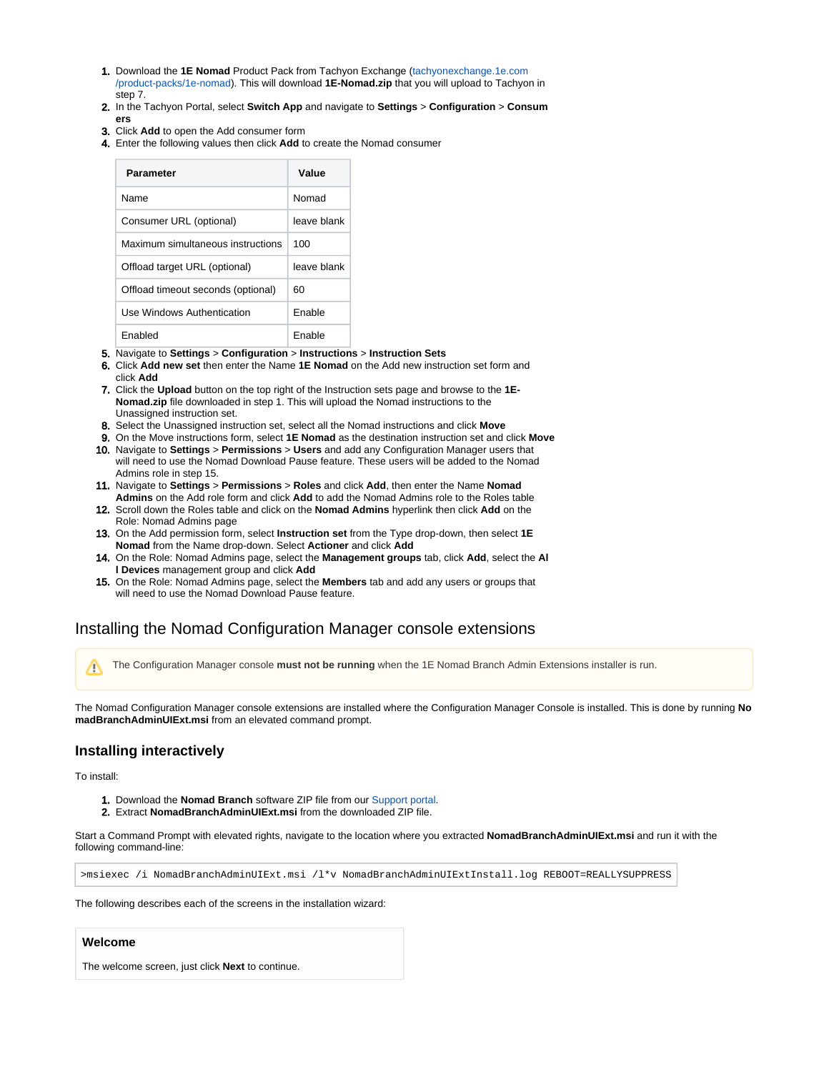- 1. Download the **1E Nomad** Product Pack from Tachyon Exchange ([tachyonexchange.1e.com](https://tachyonexchange.1e.com/product-packs/1e-nomad/) [/product-packs/1e-nomad\)](https://tachyonexchange.1e.com/product-packs/1e-nomad/). This will download **1E-Nomad.zip** that you will upload to Tachyon in step 7.
- 2. In the Tachyon Portal, select **Switch App** and navigate to **Settings** > **Configuration** > **Consum**
- 3. Click **Add** to open the Add consumer form **ers**
- 4. Enter the following values then click **Add** to create the Nomad consumer

| <b>Parameter</b>                   | Value       |  |  |
|------------------------------------|-------------|--|--|
| <b>Name</b>                        | Nomad       |  |  |
| Consumer URL (optional)            | leave blank |  |  |
| Maximum simultaneous instructions  | 100         |  |  |
| Offload target URL (optional)      | leave blank |  |  |
| Offload timeout seconds (optional) | 60          |  |  |
| Use Windows Authentication         | Fnable      |  |  |
| <b>Fnabled</b>                     | Fnable      |  |  |

#### 5. Navigate to **Settings** > **Configuration** > **Instructions** > **Instruction Sets**

- 6. Click **Add new set** then enter the Name **1E Nomad** on the Add new instruction set form and click **Add**
- 7. Click the **Upload** button on the top right of the Instruction sets page and browse to the **1E-Nomad.zip** file downloaded in step 1. This will upload the Nomad instructions to the Unassigned instruction set.
- 8. Select the Unassigned instruction set, select all the Nomad instructions and click **Move**
- 9. On the Move instructions form, select **1E Nomad** as the destination instruction set and click **Move**
- 10. Navigate to **Settings** > **Permissions** > **Users** and add any Configuration Manager users that will need to use the Nomad Download Pause feature. These users will be added to the Nomad Admins role in step 15.
- 11. Navigate to **Settings** > **Permissions** > **Roles** and click **Add**, then enter the Name **Nomad Admins** on the Add role form and click **Add** to add the Nomad Admins role to the Roles table
- 12. Scroll down the Roles table and click on the **Nomad Admins** hyperlink then click **Add** on the Role: Nomad Admins page
- 13. On the Add permission form, select **Instruction set** from the Type drop-down, then select **1E Nomad** from the Name drop-down. Select **Actioner** and click **Add**
- 14. On the Role: Nomad Admins page, select the **Management groups** tab, click **Add**, select the **Al l Devices** management group and click **Add**
- 15. On the Role: Nomad Admins page, select the **Members** tab and add any users or groups that will need to use the Nomad Download Pause feature.

# <span id="page-1-0"></span>Installing the Nomad Configuration Manager console extensions

The Configuration Manager console **must not be running** when the 1E Nomad Branch Admin Extensions installer is run.Δ

The Nomad Configuration Manager console extensions are installed where the Configuration Manager Console is installed. This is done by running **No madBranchAdminUIExt.msi** from an elevated command prompt.

# <span id="page-1-1"></span>**Installing interactively**

To install:

- 1. Download the **Nomad Branch** software ZIP file from our [Support portal.](https://1eportal.force.com/s/nomadtopicdetail)
- 2. Extract **NomadBranchAdminUIExt.msi** from the downloaded ZIP file.

Start a Command Prompt with elevated rights, navigate to the location where you extracted **NomadBranchAdminUIExt.msi** and run it with the following command-line:

>msiexec /i NomadBranchAdminUIExt.msi /l\*v NomadBranchAdminUIExtInstall.log REBOOT=REALLYSUPPRESS

<span id="page-1-2"></span>The following describes each of the screens in the installation wizard:

#### **Welcome**

The welcome screen, just click **Next** to continue.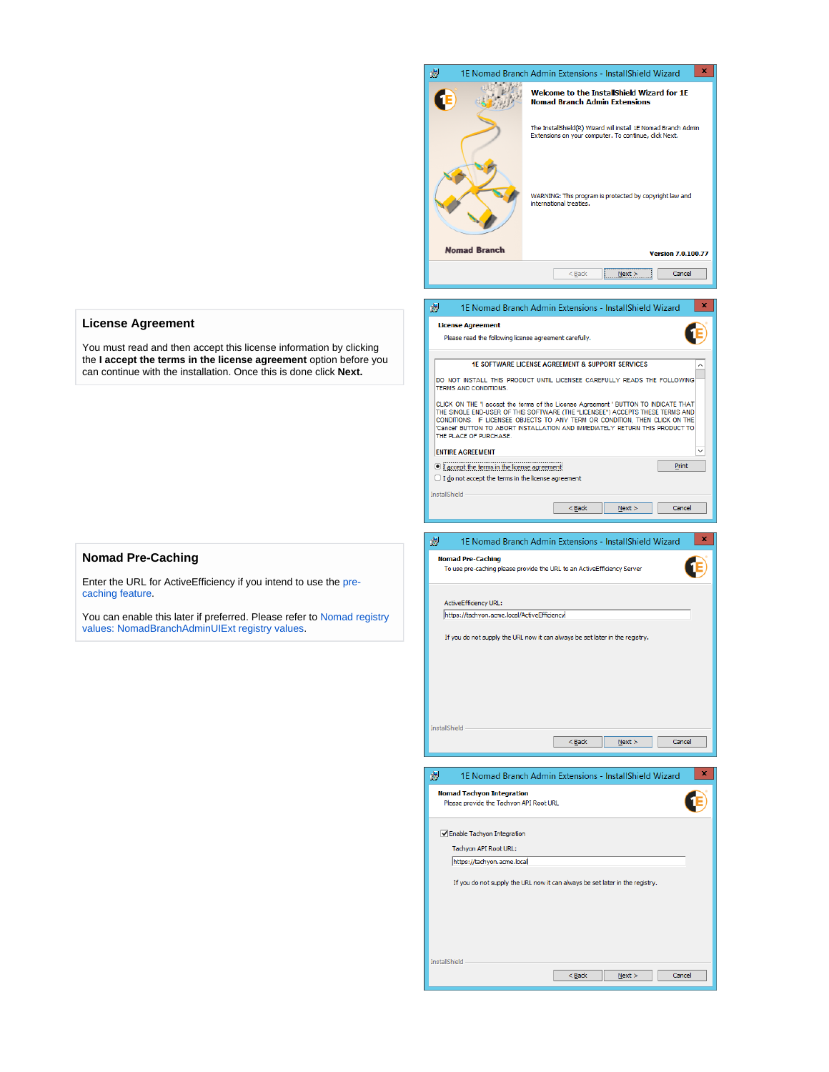

## <span id="page-2-0"></span>**License Agreement**

You must read and then accept this license information by clicking the **I accept the terms in the license agreement** option before you can continue with the installation. Once this is done click **Next.**

### <span id="page-2-1"></span>**Nomad Pre-Caching**

Enter the URL for ActiveEfficiency if you intend to use the [pre](https://help.1e.com/display/NMD702/Nomad+pre-caching)[caching feature](https://help.1e.com/display/NMD702/Nomad+pre-caching).

You can enable this later if preferred. Please refer to [Nomad registry](https://help.1e.com/display/NMD702/Nomad+registry+values#Nomadregistryvalues-NomadBranchAdminUIExtregistryvalues)  [values: NomadBranchAdminUIExt registry values.](https://help.1e.com/display/NMD702/Nomad+registry+values#Nomadregistryvalues-NomadBranchAdminUIExtregistryvalues)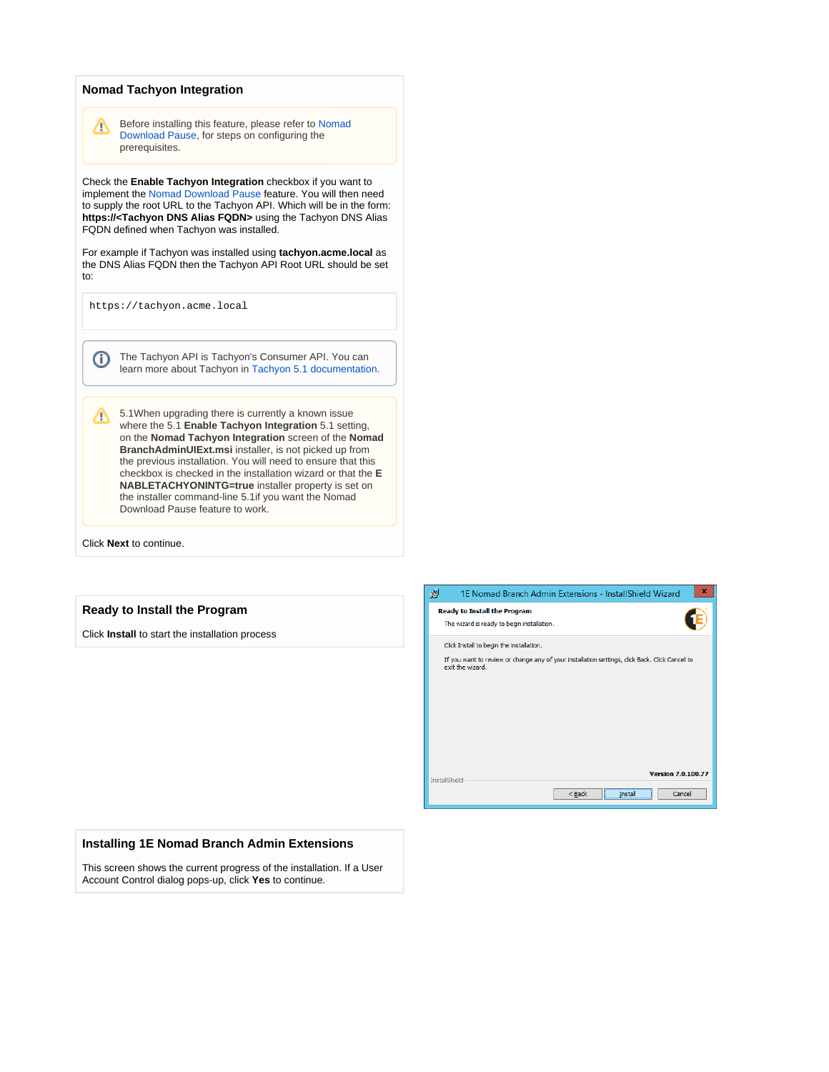### <span id="page-3-0"></span>**Nomad Tachyon Integration**

Δ

Before installing this feature, please refer to [Nomad](https://help.1e.com/display/NMD702/Nomad+Download+Pause)  [Download Pause](https://help.1e.com/display/NMD702/Nomad+Download+Pause), for steps on configuring the prerequisites.

Check the **Enable Tachyon Integration** checkbox if you want to implement the [Nomad Download Pause](https://help.1e.com/display/NMD702/Nomad+Download+Pause) feature. You will then need to supply the root URL to the Tachyon API. Which will be in the form: **https://<Tachyon DNS Alias FQDN>** using the Tachyon DNS Alias FQDN defined when Tachyon was installed.

For example if Tachyon was installed using **tachyon.acme.local** as the DNS Alias FQDN then the Tachyon API Root URL should be set to:

https://tachyon.acme.local

The Tachyon API is Tachyon's Consumer API. You can (i) learn more about Tachyon in [Tachyon 5.1 documentation.](https://help.1e.com/display/TCN51/Welcome)

5.1When upgrading there is currently a known issue where the 5.1 **Enable Tachyon Integration** 5.1 setting, on the **Nomad Tachyon Integration** screen of the **Nomad BranchAdminUIExt.msi** installer, is not picked up from the previous installation. You will need to ensure that this checkbox is checked in the installation wizard or that the **E NABLETACHYONINTG=true** installer property is set on the installer command-line 5.1if you want the Nomad Download Pause feature to work.

Click **Next** to continue.

#### <span id="page-3-1"></span>**Ready to Install the Program**

Click **Install** to start the installation process



#### <span id="page-3-2"></span>**Installing 1E Nomad Branch Admin Extensions**

This screen shows the current progress of the installation. If a User Account Control dialog pops-up, click **Yes** to continue.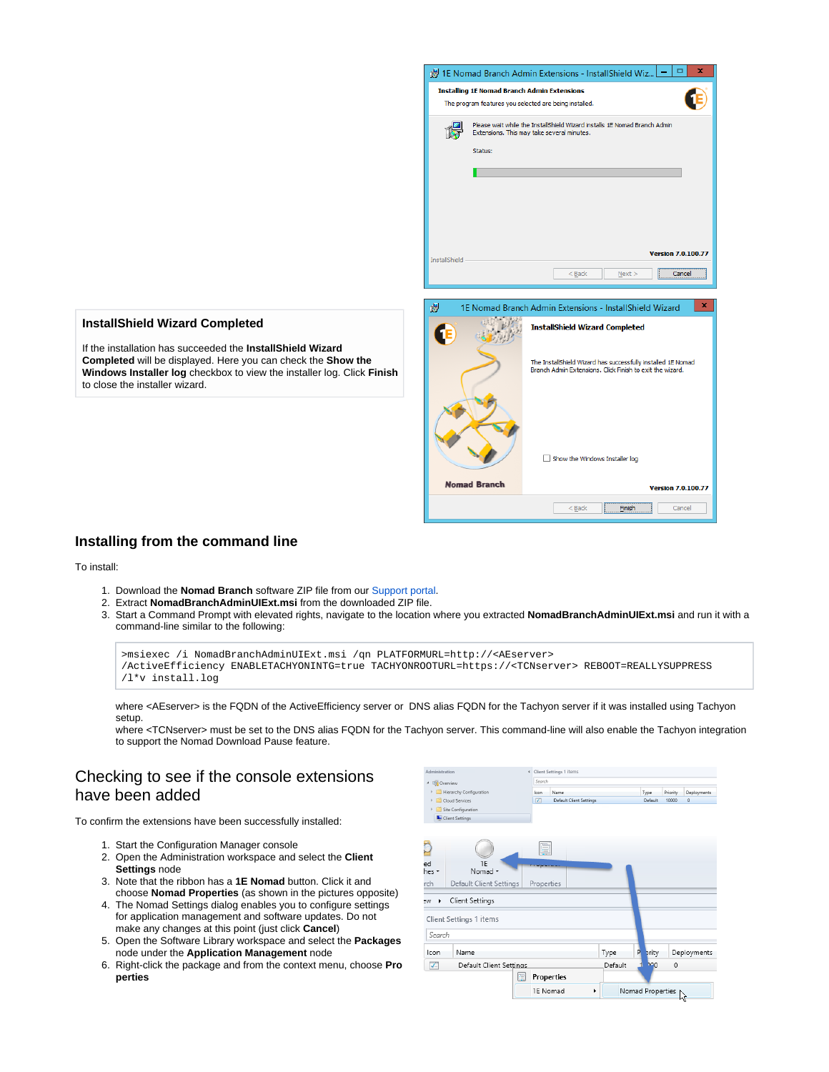

## <span id="page-4-0"></span>**InstallShield Wizard Completed**

If the installation has succeeded the **InstallShield Wizard Completed** will be displayed. Here you can check the **Show the Windows Installer log** checkbox to view the installer log. Click **Finish** to close the installer wizard.

# <span id="page-4-1"></span>**Installing from the command line**

To install:

- 1. Download the **Nomad Branch** software ZIP file from our [Support portal.](https://1eportal.force.com/s/nomadtopicdetail)
- 2. Extract **NomadBranchAdminUIExt.msi** from the downloaded ZIP file.
- 3. Start a Command Prompt with elevated rights, navigate to the location where you extracted **NomadBranchAdminUIExt.msi** and run it with a command-line similar to the following:

| >msiexec /i NomadBranchAdminUIExt.msi /qn PLATFORMURL=http:// <aeserver></aeserver> |                                                                                                                |  |  |  |  |  |  |  |
|-------------------------------------------------------------------------------------|----------------------------------------------------------------------------------------------------------------|--|--|--|--|--|--|--|
|                                                                                     | /ActiveEfficiency ENABLETACHYONINTG=true TACHYONROOTURL=https:// <tcnserver> REBOOT=REALLYSUPPRESS</tcnserver> |  |  |  |  |  |  |  |
| /l*v install.log                                                                    |                                                                                                                |  |  |  |  |  |  |  |

where <AEserver> is the FQDN of the ActiveEfficiency server or DNS alias FQDN for the Tachyon server if it was installed using Tachyon setup.

where <TCNserver> must be set to the DNS alias FQDN for the Tachyon server. This command-line will also enable the Tachyon integration to support the Nomad Download Pause feature.

# <span id="page-4-2"></span>Checking to see if the console extensions have been added

To confirm the extensions have been successfully installed:

- 1. Start the Configuration Manager console
- 2. Open the Administration workspace and select the **Client Settings** node
- 3. Note that the ribbon has a **1E Nomad** button. Click it and choose **Nomad Properties** (as shown in the pictures opposite)
- 4. The Nomad Settings dialog enables you to configure settings for application management and software updates. Do not make any changes at this point (just click **Cancel**)
- 5. Open the Software Library workspace and select the **Packages** node under the **Application Management** node
- 6. Right-click the package and from the context menu, choose **Pro perties**

| Administration |                         | « Client Settings 1 items |                         |         |                  |          |              |
|----------------|-------------------------|---------------------------|-------------------------|---------|------------------|----------|--------------|
| 4 Ell Overview |                         |                           |                         |         |                  |          |              |
|                | Hierarchy Configuration | Icon                      | Name                    |         | Type             | Priority | Deployments  |
|                | Cloud Services          | $\overline{\mathbf{v}}$   | Default Client Settings |         | Default          | 10000    | $\mathbf{0}$ |
|                | Site Configuration      |                           |                         |         |                  |          |              |
|                | Client Settings         |                           |                         |         |                  |          |              |
|                |                         |                           |                         |         |                  |          |              |
|                |                         | È                         |                         |         |                  |          |              |
| ed<br>hes *    | 1E<br>Nomad *           |                           |                         |         |                  |          |              |
| rch            | Default Client Settings | Properties                |                         |         |                  |          |              |
| ۹W<br>٠        | Client Settings         |                           |                         |         |                  |          |              |
|                | Client Settings 1 items |                           |                         |         |                  |          |              |
| Search         |                         |                           |                         |         |                  |          |              |
| Icon           | Name                    |                           |                         | Type    | P<br>prity       |          | Deployments  |
| V.             | Default Client Settings |                           |                         | Default | <b>MO</b><br>1   | 0        |              |
|                | 固                       | <b>Properties</b>         |                         |         |                  |          |              |
|                |                         | 1E Nomad                  | ▶                       |         | Nomad Properties |          | Ьč           |
|                |                         |                           |                         |         |                  |          |              |